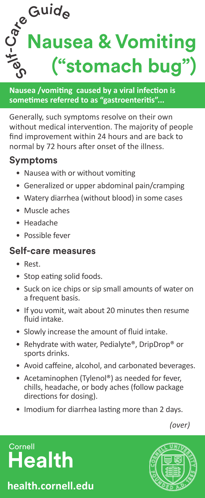

**Nausea /vomiting caused by a viral infection is sometimes referred to as "gastroenteritis"...**

Generally, such symptoms resolve on their own without medical intervention. The majority of people find improvement within 24 hours and are back to normal by 72 hours after onset of the illness.

### **Symptoms**

- Nausea with or without vomiting
- Generalized or upper abdominal pain/cramping
- Watery diarrhea (without blood) in some cases
- Muscle aches
- Headache
- Possible fever

#### **Self-care measures**

- Rest.
- Stop eating solid foods.
- Suck on ice chips or sip small amounts of water on a frequent basis.
- If you vomit, wait about 20 minutes then resume fluid intake.
- Slowly increase the amount of fluid intake.
- Rehydrate with water, Pedialyte®, DripDrop® or sports drinks.
- Avoid caffeine, alcohol, and carbonated beverages.
- Acetaminophen (Tylenol®) as needed for fever, chills, headache, or body aches (follow package directions for dosing).
- Imodium for diarrhea lasting more than 2 days.

*(over)*

# **Cornell Health**

**health.cornell.edu**